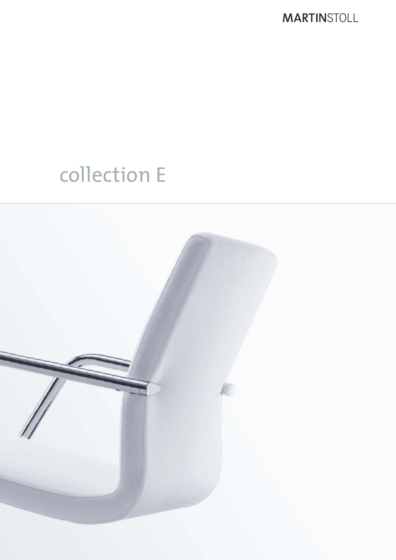**MARTINSTOLL** 

# collection E

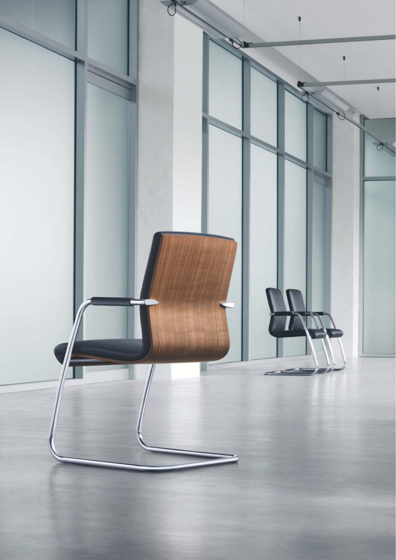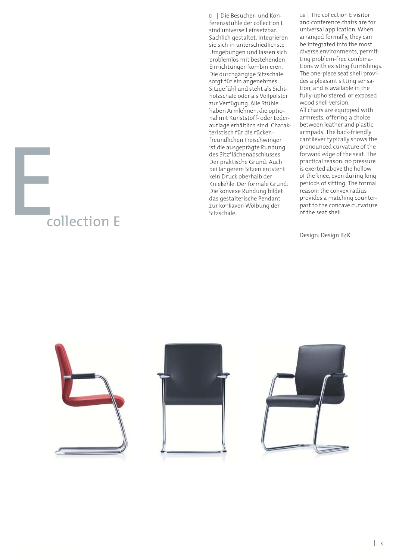D | Die Besucher- und Konferenzstühle der collection E sind universell einsetzbar. Sachlich gestaltet, integrieren sie sich in unterschiedlichste Umgebungen und lassen sich problemlos mit bestehenden Einrichtungen kombinieren. Die durchgängige Sitzschale sorgt für ein angenehmes Sitzgefühl und steht als Sichtholzschale oder als Vollpolster zur Verfügung. Alle Stühle haben Armlehnen, die optional mit Kunststoff- oder Lederauflage erhältlich sind. Charakteristisch für die rückenfreundlichen Freischwinger ist die ausgeprägte Rundung des Sitzflächenabschlusses. Der praktische Grund: Auch bei längerem Sitzen entsteht kein Druck oberhalb der Kniekehle. Der formale Grund: Die konvexe Rundung bildet das gestalterische Pendant zur konkaven Wölbung der Sitzschale.

GB | The collection E visitor and conference chairs are for universal application. When arranged formally, they can be integrated into the most diverse environments, permitting problem-free combinations with existing furnishings. The one-piece seat shell provides a pleasant sitting sensation, and is available in the fully-upholstered, or exposed wood shell version. All chairs are equipped with armrests, offering a choice between leather and plastic armpads. The back-friendly cantilever typically shows the pronounced curvature of the forward edge of the seat. The practical reason: no pressure is exerted above the hollow of the knee, even during long periods of sitting. The formal reason: the convex radius provides a matching counterpart to the concave curvature of the seat shell.

Design: Design B4K



collection E

E





# | 3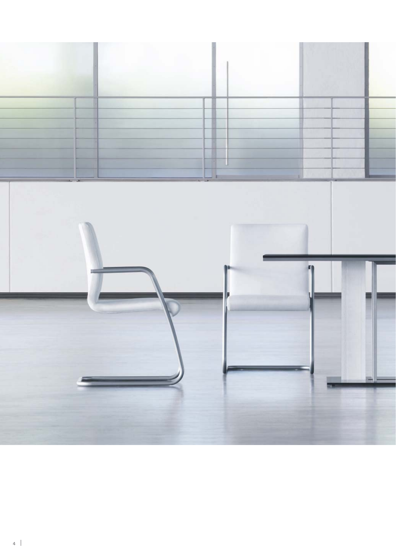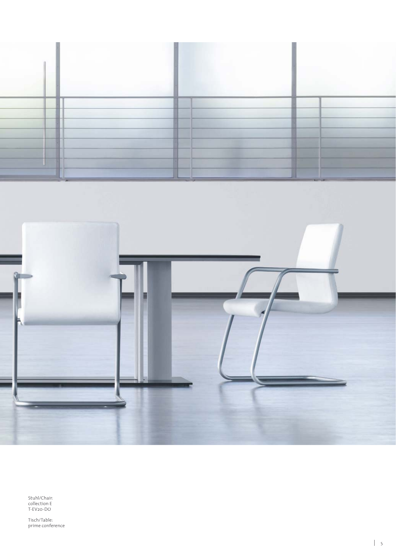



Stuhl/Chair:<br>collection E T-EV20-DO

Tisch/Table:<br>prime conference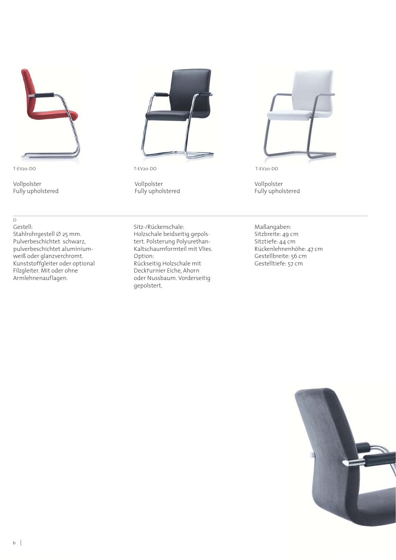

Vollpolster Fully upholstered

 $\overline{D}$ Gestell:

Stahlrohrgestell Ø 25 mm. Pulverbeschichtet schwarz, pulverbeschichtet aluminiumweiß oder glanzverchromt. Kunststoffgleiter oder optional Filzgleiter. Mit oder ohne Armlehnenauflagen.



T-EV20-DO T-EV20-DO T-EV20-DO

Vollpolster Fully upholstered

Sitz-/Rückenschale: Holzschale beidseitig gepolstert. Polsterung Polyurethan-Kaltschaumformteil mit Vlies. Option: Rückseitig Holzschale mit Deckfurnier Eiche, Ahorn oder Nussbaum. Vorderseitig gepolstert.



Vollpolster Fully upholstered

Maßangaben: Sitzbreite: 49 cm Sitztiefe: 44 cm Rückenlehnenhöhe: 47 cm Gestellbreite: 56 cm Gestelltiefe: 57 cm

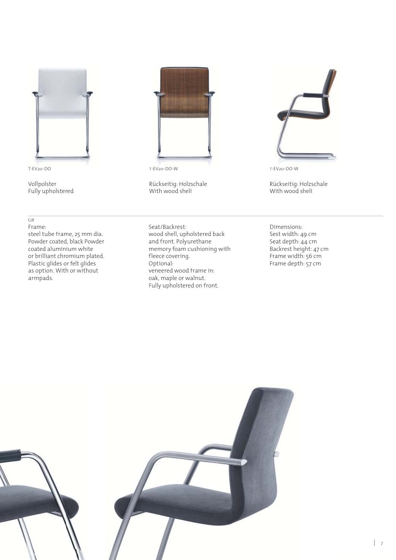

T-EV<sub>20</sub>-DO

Vollpolster Fully upholstered

# GB

Frame: steel tube frame, 25 mm dia. Powder coated, black Powder coated aluminium white or brilliant chromium plated. Plastic glides or felt glides as option. With or without armpads.



T-EV20-DO-W T-EV20-DO-W

Rückseitig: Holzschale With wood shell

Seat/Backrest: wood shell, upholstered back and front. Polyurethane memory foam cushioning with fleece covering. Optional: veneered wood frame in: oak, maple or walnut. Fully upholstered on front.



Rückseitig: Holzschale With wood shell

## Dimensions: Sest width: 49 cm Seat depth: 44 cm Backrest height: 47 cm Frame width: 56 cm Frame depth: 57 cm